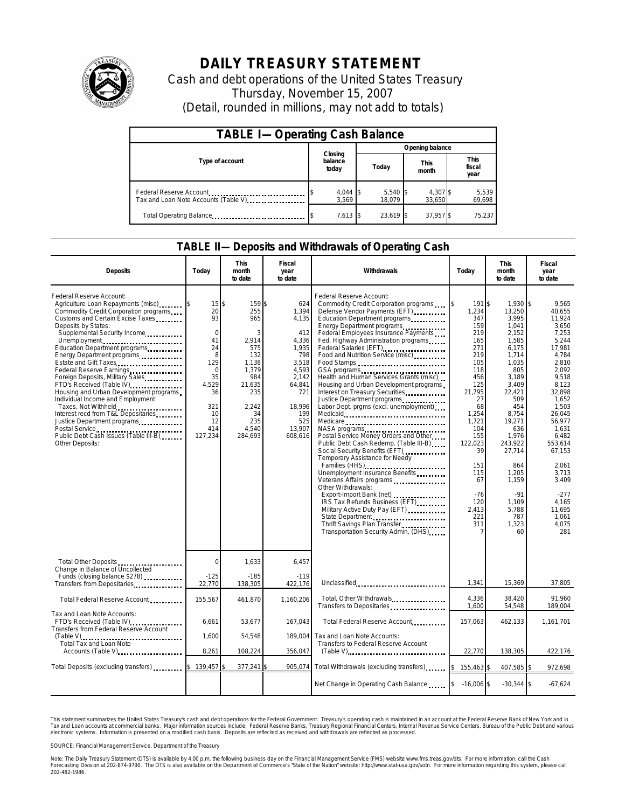

## **DAILY TREASURY STATEMENT**

Cash and debt operations of the United States Treasury Thursday, November 15, 2007 (Detail, rounded in millions, may not add to totals)

| <b>TABLE I-Operating Cash Balance</b>                           |                             |                      |                      |                               |  |  |  |
|-----------------------------------------------------------------|-----------------------------|----------------------|----------------------|-------------------------------|--|--|--|
|                                                                 |                             | Opening balance      |                      |                               |  |  |  |
| Type of account                                                 | Closing<br>balance<br>today | Today                | <b>This</b><br>month | <b>This</b><br>fiscal<br>year |  |  |  |
| Federal Reserve Account<br>Tax and Loan Note Accounts (Table V) | $4,044$ \$<br>3.569         | $5,540$ \$<br>18.079 | 4,307 \$<br>33,650   | 5,539<br>69,698               |  |  |  |
| Total Operating Balance                                         | 7,613 \$                    | 23.619 \$            | 37,957 \$            | 75,237                        |  |  |  |

## **TABLE II—Deposits and Withdrawals of Operating Cash**

| <b>Deposits</b>                                                                                                                                                                                                                                                                                                                                                                                                                                                                                                                                                                                                                      | Todav                                                                                                                    | <b>This</b><br>month<br>to date                                                                                                      | Fiscal<br>year<br>to date                                                                                                                      | Withdrawals                                                                                                                                                                                                                                                                                                                                                                                                                                                                                                                                                                                                                                                                                                                                                                                                                                                                                                                                                                                                              | Today                                                                                                                                                                                                                 | <b>This</b><br>month<br>to date                                                                                                                                                                                                                                         | Fiscal<br>year<br>to date                                                                                                                                                                                                                                                           |
|--------------------------------------------------------------------------------------------------------------------------------------------------------------------------------------------------------------------------------------------------------------------------------------------------------------------------------------------------------------------------------------------------------------------------------------------------------------------------------------------------------------------------------------------------------------------------------------------------------------------------------------|--------------------------------------------------------------------------------------------------------------------------|--------------------------------------------------------------------------------------------------------------------------------------|------------------------------------------------------------------------------------------------------------------------------------------------|--------------------------------------------------------------------------------------------------------------------------------------------------------------------------------------------------------------------------------------------------------------------------------------------------------------------------------------------------------------------------------------------------------------------------------------------------------------------------------------------------------------------------------------------------------------------------------------------------------------------------------------------------------------------------------------------------------------------------------------------------------------------------------------------------------------------------------------------------------------------------------------------------------------------------------------------------------------------------------------------------------------------------|-----------------------------------------------------------------------------------------------------------------------------------------------------------------------------------------------------------------------|-------------------------------------------------------------------------------------------------------------------------------------------------------------------------------------------------------------------------------------------------------------------------|-------------------------------------------------------------------------------------------------------------------------------------------------------------------------------------------------------------------------------------------------------------------------------------|
| Federal Reserve Account:<br>Agriculture Loan Repayments (misc)<br>Commodity Credit Corporation programs<br>Customs and Certain Excise Taxes<br>Deposits by States:<br>Supplemental Security Income<br>Unemployment<br>Education Department programs<br>Energy Department programs<br>Estate and Gift Taxes<br>Foreign Deposits, Military Sales<br>FTD's Received (Table IV)<br>Housing and Urban Development programs<br>Individual Income and Employment<br>Taxes, Not Withheld<br>Interest recd from T&L Depositaries<br>Justice Department programs<br>Postal Service<br>Public Debt Cash Issues (Table III-B)<br>Other Deposits: | 15<br>20<br>93<br>$\Omega$<br>41<br>24<br>8<br>129<br>$\Omega$<br>35<br>4,529<br>36<br>321<br>10<br>12<br>414<br>127,234 | 159\$<br>\$<br>255<br>965<br>2,914<br>575<br>132<br>1,138<br>1,379<br>984<br>21,635<br>235<br>2,242<br>34<br>235<br>4,540<br>284,693 | 624<br>1,394<br>4,135<br>412<br>4,336<br>1,935<br>798<br>3,518<br>4,593<br>2,142<br>64,841<br>721<br>18,996<br>199<br>525<br>13,907<br>608,616 | Federal Reserve Account:<br>Commodity Credit Corporation programs<br>Defense Vendor Payments (EFT)<br>Education Department programs<br>Energy Department programs<br>Federal Employees Insurance Payments<br>Fed. Highway Administration programs<br>Federal Salaries (EFT)<br>Food and Nutrition Service (misc)<br>Food Stamps<br>Health and Human Services Grants (misc)<br>Housing and Urban Development programs<br>Interest on Treasury Securities<br>Justice Department programs<br>Labor Dept. prgms (excl. unemployment)<br>Medicare<br>NASA programs<br>Postal Service Money Orders and Other<br>Public Debt Cash Redemp. (Table III-B)<br>Social Security Benefits (EFT)<br>Temporary Assistance for Needy<br>Families (HHS)<br>Unemployment Insurance Benefits<br>Veterans Affairs programs<br>Other Withdrawals:<br>Export-Import Bank (net)<br>IRS Tax Refunds Business (EFT)<br>Military Active Duty Pay (EFT)<br>State Department<br>Thrift Savings Plan Transfer<br>Transportation Security Admin. (DHS) | 191S<br>1,234<br>347<br>159<br>219<br>165<br>271<br>219<br>105<br>118<br>456<br>125<br>21,795<br>27<br>68<br>1,254<br>1,721<br>104<br>155<br>122,023<br>39<br>151<br>115<br>67<br>$-76$<br>120<br>2,413<br>221<br>311 | $1.930$ \\$<br>13,250<br>3,995<br>1,041<br>2,152<br>1,585<br>6,175<br>1,714<br>1,035<br>805<br>3,189<br>3,409<br>22,421<br>509<br>454<br>8,754<br>19,271<br>636<br>1,976<br>243,922<br>27,714<br>864<br>1,205<br>1,159<br>$-91$<br>1.109<br>5,788<br>787<br>1,323<br>60 | 9.565<br>40,655<br>11,924<br>3.650<br>7,253<br>5,244<br>17,981<br>4.784<br>2,810<br>2,092<br>9,518<br>8,123<br>32,898<br>1.652<br>1,503<br>26,045<br>56,977<br>1,631<br>6,482<br>553.614<br>67,153<br>2,061<br>3,713<br>3,409<br>$-277$<br>4.165<br>11,695<br>1,061<br>4,075<br>281 |
| Total Other Deposits<br>Change in Balance of Uncollected<br>Funds (closing balance \$278)                                                                                                                                                                                                                                                                                                                                                                                                                                                                                                                                            | $\mathbf 0$<br>$-125$                                                                                                    | 1,633<br>$-185$                                                                                                                      | 6,457<br>$-119$                                                                                                                                |                                                                                                                                                                                                                                                                                                                                                                                                                                                                                                                                                                                                                                                                                                                                                                                                                                                                                                                                                                                                                          |                                                                                                                                                                                                                       |                                                                                                                                                                                                                                                                         |                                                                                                                                                                                                                                                                                     |
| Transfers from Depositaries                                                                                                                                                                                                                                                                                                                                                                                                                                                                                                                                                                                                          | 22,770                                                                                                                   | 138,305                                                                                                                              | 422,176                                                                                                                                        | Unclassified                                                                                                                                                                                                                                                                                                                                                                                                                                                                                                                                                                                                                                                                                                                                                                                                                                                                                                                                                                                                             | 1,341                                                                                                                                                                                                                 | 15,369                                                                                                                                                                                                                                                                  | 37,805                                                                                                                                                                                                                                                                              |
| Total Federal Reserve Account                                                                                                                                                                                                                                                                                                                                                                                                                                                                                                                                                                                                        | 155,567                                                                                                                  | 461,870                                                                                                                              | 1,160,206                                                                                                                                      | Total, Other Withdrawals<br>Transfers to Depositaries                                                                                                                                                                                                                                                                                                                                                                                                                                                                                                                                                                                                                                                                                                                                                                                                                                                                                                                                                                    | 4,336<br>1,600                                                                                                                                                                                                        | 38,420<br>54,548                                                                                                                                                                                                                                                        | 91.960<br>189,004                                                                                                                                                                                                                                                                   |
| Tax and Loan Note Accounts:<br>FTD's Received (Table IV)<br>Transfers from Federal Reserve Account                                                                                                                                                                                                                                                                                                                                                                                                                                                                                                                                   | 6,661                                                                                                                    | 53,677                                                                                                                               | 167,043                                                                                                                                        | Total Federal Reserve Account                                                                                                                                                                                                                                                                                                                                                                                                                                                                                                                                                                                                                                                                                                                                                                                                                                                                                                                                                                                            | 157,063                                                                                                                                                                                                               | 462,133                                                                                                                                                                                                                                                                 | 1,161,701                                                                                                                                                                                                                                                                           |
| Total Tax and Loan Note<br>Accounts (Table V)                                                                                                                                                                                                                                                                                                                                                                                                                                                                                                                                                                                        | 1,600                                                                                                                    | 54,548                                                                                                                               | 189,004                                                                                                                                        | Tax and Loan Note Accounts:<br>Transfers to Federal Reserve Account                                                                                                                                                                                                                                                                                                                                                                                                                                                                                                                                                                                                                                                                                                                                                                                                                                                                                                                                                      |                                                                                                                                                                                                                       |                                                                                                                                                                                                                                                                         |                                                                                                                                                                                                                                                                                     |
|                                                                                                                                                                                                                                                                                                                                                                                                                                                                                                                                                                                                                                      | 8,261                                                                                                                    | 108,224                                                                                                                              | 356,047                                                                                                                                        |                                                                                                                                                                                                                                                                                                                                                                                                                                                                                                                                                                                                                                                                                                                                                                                                                                                                                                                                                                                                                          | 22,770                                                                                                                                                                                                                | 138,305                                                                                                                                                                                                                                                                 | 422,176                                                                                                                                                                                                                                                                             |
| Total Deposits (excluding transfers) [1000]                                                                                                                                                                                                                                                                                                                                                                                                                                                                                                                                                                                          | 139,457                                                                                                                  | 377,241 \$                                                                                                                           | 905,074                                                                                                                                        | Total Withdrawals (excluding transfers)                                                                                                                                                                                                                                                                                                                                                                                                                                                                                                                                                                                                                                                                                                                                                                                                                                                                                                                                                                                  | l\$<br>155,463 \$                                                                                                                                                                                                     | 407,585 \$                                                                                                                                                                                                                                                              | 972,698                                                                                                                                                                                                                                                                             |
|                                                                                                                                                                                                                                                                                                                                                                                                                                                                                                                                                                                                                                      |                                                                                                                          |                                                                                                                                      |                                                                                                                                                | Net Change in Operating Cash Balance                                                                                                                                                                                                                                                                                                                                                                                                                                                                                                                                                                                                                                                                                                                                                                                                                                                                                                                                                                                     | $-16,006$ \$                                                                                                                                                                                                          | $-30,344$ \$                                                                                                                                                                                                                                                            | $-67,624$                                                                                                                                                                                                                                                                           |

This statement summarizes the United States Treasury's cash and debt operations for the Federal Government.<br>Tax and Loan accounts at commercial banks. Major information sources include: Federal Reserve Banks, Trea<br>electr narizes the United States Treasury's cash and debt operations for the Federal Government. Treasury's operating cash is maintained in an account at the Federal Reserve Bank of New York and in<br>nts at commercial banks. Major

SOURCE: Financial Management Service, Department of the Treasury

Note: The Daily Treasury Statement (DTS) is available by 4:00 p.m. the following business day on the Financial Management Service (FMS) website www.fms.treas.gov/dts. For more information, call the Cash<br>Forecasting Divisio 202-482-1986.